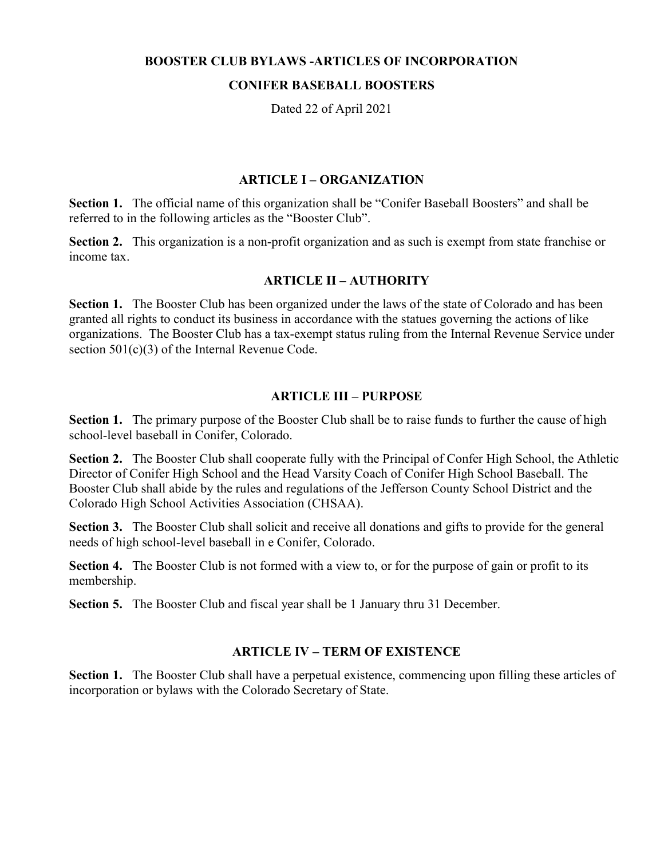#### BOOSTER CLUB BYLAWS -ARTICLES OF INCORPORATION

#### CONIFER BASEBALL BOOSTERS

Dated 22 of April 2021

### ARTICLE I – ORGANIZATION

Section 1. The official name of this organization shall be "Conifer Baseball Boosters" and shall be referred to in the following articles as the "Booster Club".

Section 2. This organization is a non-profit organization and as such is exempt from state franchise or income tax.

### ARTICLE II – AUTHORITY

Section 1. The Booster Club has been organized under the laws of the state of Colorado and has been granted all rights to conduct its business in accordance with the statues governing the actions of like organizations. The Booster Club has a tax-exempt status ruling from the Internal Revenue Service under section 501(c)(3) of the Internal Revenue Code.

#### ARTICLE III – PURPOSE

Section 1. The primary purpose of the Booster Club shall be to raise funds to further the cause of high school-level baseball in Conifer, Colorado.

Section 2. The Booster Club shall cooperate fully with the Principal of Confer High School, the Athletic Director of Conifer High School and the Head Varsity Coach of Conifer High School Baseball. The Booster Club shall abide by the rules and regulations of the Jefferson County School District and the Colorado High School Activities Association (CHSAA).

Section 3. The Booster Club shall solicit and receive all donations and gifts to provide for the general needs of high school-level baseball in e Conifer, Colorado.

Section 4. The Booster Club is not formed with a view to, or for the purpose of gain or profit to its membership.

Section 5. The Booster Club and fiscal year shall be 1 January thru 31 December.

### ARTICLE IV – TERM OF EXISTENCE

Section 1. The Booster Club shall have a perpetual existence, commencing upon filling these articles of incorporation or bylaws with the Colorado Secretary of State.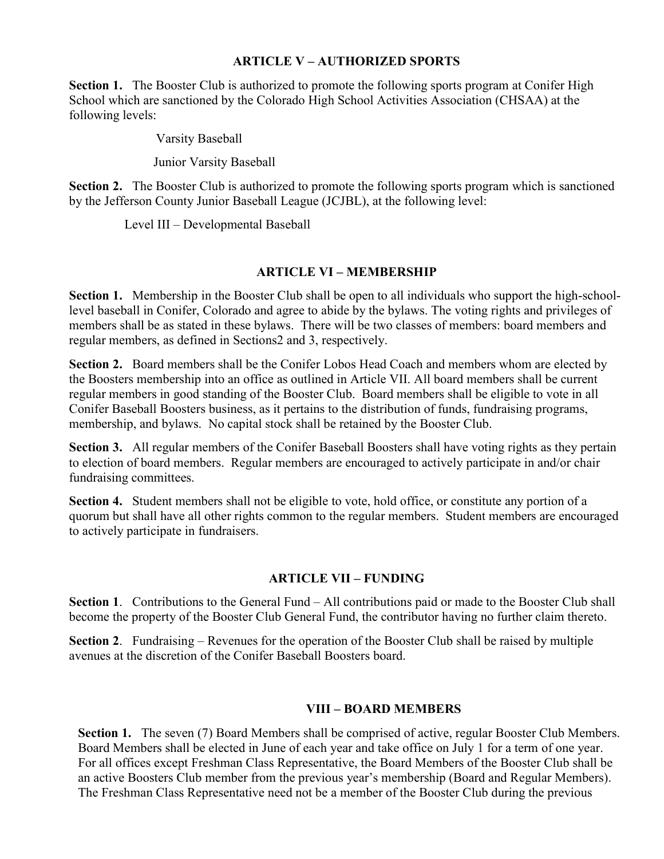### ARTICLE V – AUTHORIZED SPORTS

Section 1. The Booster Club is authorized to promote the following sports program at Conifer High School which are sanctioned by the Colorado High School Activities Association (CHSAA) at the following levels:

Varsity Baseball

Junior Varsity Baseball

Section 2. The Booster Club is authorized to promote the following sports program which is sanctioned by the Jefferson County Junior Baseball League (JCJBL), at the following level:

Level III – Developmental Baseball

# ARTICLE VI – MEMBERSHIP

Section 1. Membership in the Booster Club shall be open to all individuals who support the high-schoollevel baseball in Conifer, Colorado and agree to abide by the bylaws. The voting rights and privileges of members shall be as stated in these bylaws. There will be two classes of members: board members and regular members, as defined in Sections2 and 3, respectively.

Section 2. Board members shall be the Conifer Lobos Head Coach and members whom are elected by the Boosters membership into an office as outlined in Article VII. All board members shall be current regular members in good standing of the Booster Club. Board members shall be eligible to vote in all Conifer Baseball Boosters business, as it pertains to the distribution of funds, fundraising programs, membership, and bylaws. No capital stock shall be retained by the Booster Club.

Section 3. All regular members of the Conifer Baseball Boosters shall have voting rights as they pertain to election of board members. Regular members are encouraged to actively participate in and/or chair fundraising committees.

Section 4. Student members shall not be eligible to vote, hold office, or constitute any portion of a quorum but shall have all other rights common to the regular members. Student members are encouraged to actively participate in fundraisers.

# ARTICLE VII – FUNDING

Section 1. Contributions to the General Fund – All contributions paid or made to the Booster Club shall become the property of the Booster Club General Fund, the contributor having no further claim thereto.

Section 2. Fundraising – Revenues for the operation of the Booster Club shall be raised by multiple avenues at the discretion of the Conifer Baseball Boosters board.

# VIII – BOARD MEMBERS

Section 1. The seven (7) Board Members shall be comprised of active, regular Booster Club Members. Board Members shall be elected in June of each year and take office on July 1 for a term of one year. For all offices except Freshman Class Representative, the Board Members of the Booster Club shall be an active Boosters Club member from the previous year's membership (Board and Regular Members). The Freshman Class Representative need not be a member of the Booster Club during the previous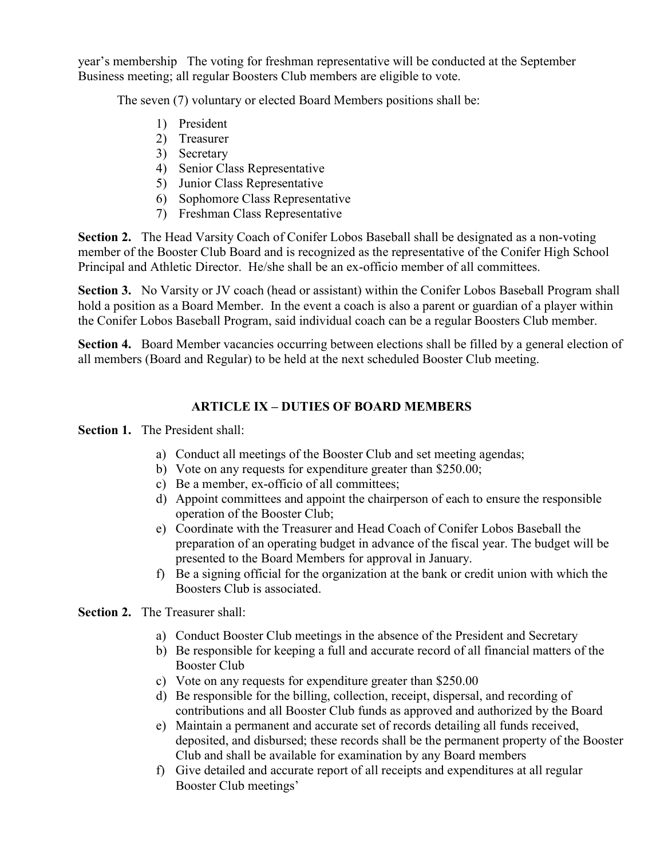year's membership The voting for freshman representative will be conducted at the September Business meeting; all regular Boosters Club members are eligible to vote.

The seven (7) voluntary or elected Board Members positions shall be:

- 1) President
- 2) Treasurer
- 3) Secretary
- 4) Senior Class Representative
- 5) Junior Class Representative
- 6) Sophomore Class Representative
- 7) Freshman Class Representative

Section 2. The Head Varsity Coach of Conifer Lobos Baseball shall be designated as a non-voting member of the Booster Club Board and is recognized as the representative of the Conifer High School Principal and Athletic Director. He/she shall be an ex-officio member of all committees.

Section 3. No Varsity or JV coach (head or assistant) within the Conifer Lobos Baseball Program shall hold a position as a Board Member. In the event a coach is also a parent or guardian of a player within the Conifer Lobos Baseball Program, said individual coach can be a regular Boosters Club member.

Section 4. Board Member vacancies occurring between elections shall be filled by a general election of all members (Board and Regular) to be held at the next scheduled Booster Club meeting.

# ARTICLE IX – DUTIES OF BOARD MEMBERS

Section 1. The President shall:

- a) Conduct all meetings of the Booster Club and set meeting agendas;
- b) Vote on any requests for expenditure greater than \$250.00;
- c) Be a member, ex-officio of all committees;
- d) Appoint committees and appoint the chairperson of each to ensure the responsible operation of the Booster Club;
- e) Coordinate with the Treasurer and Head Coach of Conifer Lobos Baseball the preparation of an operating budget in advance of the fiscal year. The budget will be presented to the Board Members for approval in January.
- f) Be a signing official for the organization at the bank or credit union with which the Boosters Club is associated.

Section 2. The Treasurer shall:

- a) Conduct Booster Club meetings in the absence of the President and Secretary
- b) Be responsible for keeping a full and accurate record of all financial matters of the Booster Club
- c) Vote on any requests for expenditure greater than \$250.00
- d) Be responsible for the billing, collection, receipt, dispersal, and recording of contributions and all Booster Club funds as approved and authorized by the Board
- e) Maintain a permanent and accurate set of records detailing all funds received, deposited, and disbursed; these records shall be the permanent property of the Booster Club and shall be available for examination by any Board members
- f) Give detailed and accurate report of all receipts and expenditures at all regular Booster Club meetings'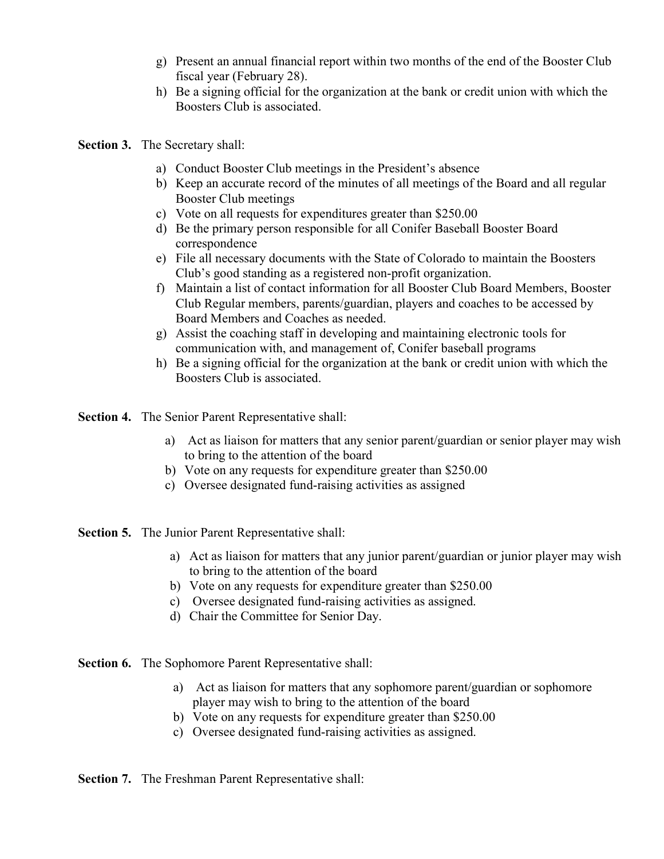- g) Present an annual financial report within two months of the end of the Booster Club fiscal year (February 28).
- h) Be a signing official for the organization at the bank or credit union with which the Boosters Club is associated.
- Section 3. The Secretary shall:
	- a) Conduct Booster Club meetings in the President's absence
	- b) Keep an accurate record of the minutes of all meetings of the Board and all regular Booster Club meetings
	- c) Vote on all requests for expenditures greater than \$250.00
	- d) Be the primary person responsible for all Conifer Baseball Booster Board correspondence
	- e) File all necessary documents with the State of Colorado to maintain the Boosters Club's good standing as a registered non-profit organization.
	- f) Maintain a list of contact information for all Booster Club Board Members, Booster Club Regular members, parents/guardian, players and coaches to be accessed by Board Members and Coaches as needed.
	- g) Assist the coaching staff in developing and maintaining electronic tools for communication with, and management of, Conifer baseball programs
	- h) Be a signing official for the organization at the bank or credit union with which the Boosters Club is associated.

Section 4. The Senior Parent Representative shall:

- a) Act as liaison for matters that any senior parent/guardian or senior player may wish to bring to the attention of the board
- b) Vote on any requests for expenditure greater than \$250.00
- c) Oversee designated fund-raising activities as assigned

Section 5. The Junior Parent Representative shall:

- a) Act as liaison for matters that any junior parent/guardian or junior player may wish to bring to the attention of the board
- b) Vote on any requests for expenditure greater than \$250.00
- c) Oversee designated fund-raising activities as assigned.
- d) Chair the Committee for Senior Day.

Section 6. The Sophomore Parent Representative shall:

- a) Act as liaison for matters that any sophomore parent/guardian or sophomore player may wish to bring to the attention of the board
- b) Vote on any requests for expenditure greater than \$250.00
- c) Oversee designated fund-raising activities as assigned.

Section 7. The Freshman Parent Representative shall: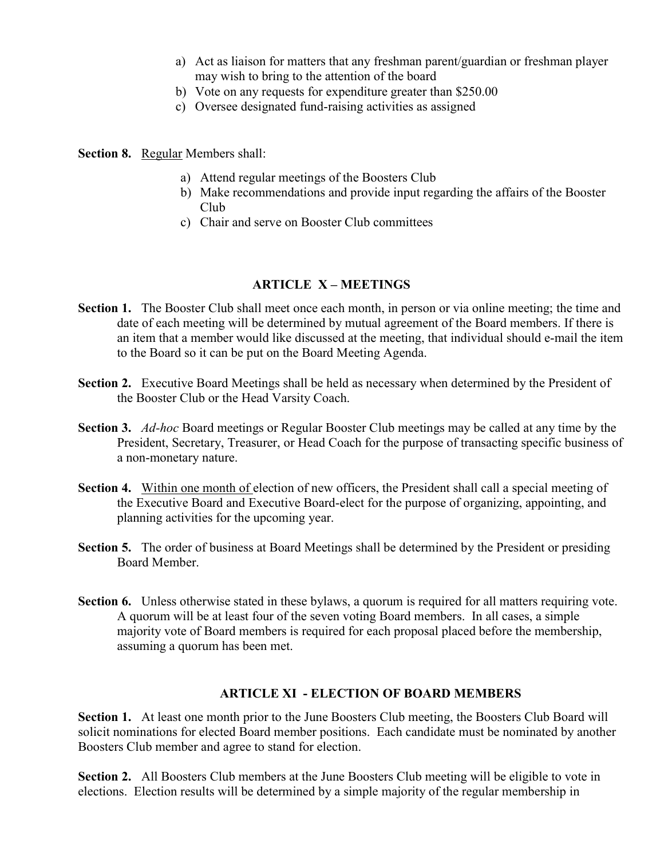- a) Act as liaison for matters that any freshman parent/guardian or freshman player may wish to bring to the attention of the board
- b) Vote on any requests for expenditure greater than \$250.00
- c) Oversee designated fund-raising activities as assigned

Section 8. Regular Members shall:

- a) Attend regular meetings of the Boosters Club
- b) Make recommendations and provide input regarding the affairs of the Booster Club
- c) Chair and serve on Booster Club committees

### ARTICLE X – MEETINGS

- Section 1. The Booster Club shall meet once each month, in person or via online meeting; the time and date of each meeting will be determined by mutual agreement of the Board members. If there is an item that a member would like discussed at the meeting, that individual should e-mail the item to the Board so it can be put on the Board Meeting Agenda.
- Section 2. Executive Board Meetings shall be held as necessary when determined by the President of the Booster Club or the Head Varsity Coach.
- Section 3. Ad-hoc Board meetings or Regular Booster Club meetings may be called at any time by the President, Secretary, Treasurer, or Head Coach for the purpose of transacting specific business of a non-monetary nature.
- Section 4. Within one month of election of new officers, the President shall call a special meeting of the Executive Board and Executive Board-elect for the purpose of organizing, appointing, and planning activities for the upcoming year.
- Section 5. The order of business at Board Meetings shall be determined by the President or presiding Board Member.
- Section 6. Unless otherwise stated in these bylaws, a quorum is required for all matters requiring vote. A quorum will be at least four of the seven voting Board members. In all cases, a simple majority vote of Board members is required for each proposal placed before the membership, assuming a quorum has been met.

#### ARTICLE XI - ELECTION OF BOARD MEMBERS

Section 1. At least one month prior to the June Boosters Club meeting, the Boosters Club Board will solicit nominations for elected Board member positions. Each candidate must be nominated by another Boosters Club member and agree to stand for election.

Section 2. All Boosters Club members at the June Boosters Club meeting will be eligible to vote in elections. Election results will be determined by a simple majority of the regular membership in